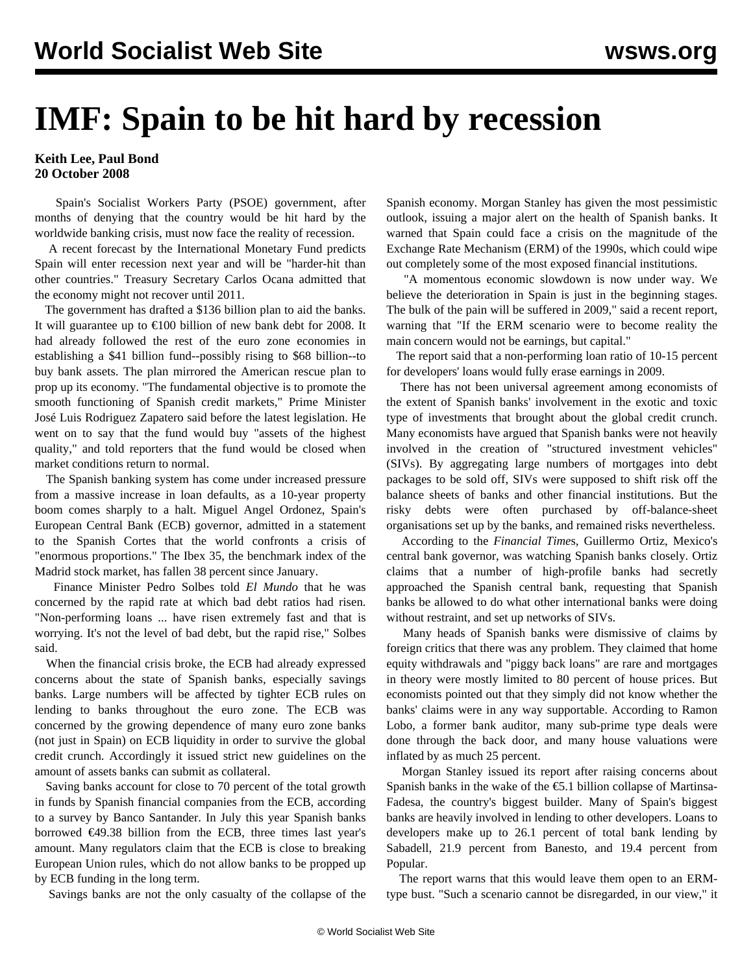## **IMF: Spain to be hit hard by recession**

## **Keith Lee, Paul Bond 20 October 2008**

 Spain's Socialist Workers Party (PSOE) government, after months of denying that the country would be hit hard by the worldwide banking crisis, must now face the reality of recession.

 A recent forecast by the International Monetary Fund predicts Spain will enter recession next year and will be "harder-hit than other countries." Treasury Secretary Carlos Ocana admitted that the economy might not recover until 2011.

 The government has drafted a \$136 billion plan to aid the banks. It will guarantee up to €100 billion of new bank debt for 2008. It had already followed the rest of the euro zone economies in establishing a \$41 billion fund--possibly rising to \$68 billion--to buy bank assets. The plan mirrored the American rescue plan to prop up its economy. "The fundamental objective is to promote the smooth functioning of Spanish credit markets," Prime Minister José Luis Rodriguez Zapatero said before the latest legislation. He went on to say that the fund would buy "assets of the highest quality," and told reporters that the fund would be closed when market conditions return to normal.

 The Spanish banking system has come under increased pressure from a massive increase in loan defaults, as a 10-year property boom comes sharply to a halt. Miguel Angel Ordonez, Spain's European Central Bank (ECB) governor, admitted in a statement to the Spanish Cortes that the world confronts a crisis of "enormous proportions." The Ibex 35, the benchmark index of the Madrid stock market, has fallen 38 percent since January.

 Finance Minister Pedro Solbes told *El Mundo* that he was concerned by the rapid rate at which bad debt ratios had risen. "Non-performing loans ... have risen extremely fast and that is worrying. It's not the level of bad debt, but the rapid rise," Solbes said.

 When the financial crisis broke, the ECB had already expressed concerns about the state of Spanish banks, especially savings banks. Large numbers will be affected by tighter ECB rules on lending to banks throughout the euro zone. The ECB was concerned by the growing dependence of many euro zone banks (not just in Spain) on ECB liquidity in order to survive the global credit crunch. Accordingly it issued strict new guidelines on the amount of assets banks can submit as collateral.

 Saving banks account for close to 70 percent of the total growth in funds by Spanish financial companies from the ECB, according to a survey by Banco Santander. In July this year Spanish banks borrowed €49.38 billion from the ECB, three times last year's amount. Many regulators claim that the ECB is close to breaking European Union rules, which do not allow banks to be propped up by ECB funding in the long term.

Savings banks are not the only casualty of the collapse of the

Spanish economy. Morgan Stanley has given the most pessimistic outlook, issuing a major alert on the health of Spanish banks. It warned that Spain could face a crisis on the magnitude of the Exchange Rate Mechanism (ERM) of the 1990s, which could wipe out completely some of the most exposed financial institutions.

 "A momentous economic slowdown is now under way. We believe the deterioration in Spain is just in the beginning stages. The bulk of the pain will be suffered in 2009," said a recent report, warning that "If the ERM scenario were to become reality the main concern would not be earnings, but capital."

 The report said that a non-performing loan ratio of 10-15 percent for developers' loans would fully erase earnings in 2009.

 There has not been universal agreement among economists of the extent of Spanish banks' involvement in the exotic and toxic type of investments that brought about the global credit crunch. Many economists have argued that Spanish banks were not heavily involved in the creation of "structured investment vehicles" (SIVs). By aggregating large numbers of mortgages into debt packages to be sold off, SIVs were supposed to shift risk off the balance sheets of banks and other financial institutions. But the risky debts were often purchased by off-balance-sheet organisations set up by the banks, and remained risks nevertheless.

 According to the *Financial Time*s, Guillermo Ortiz, Mexico's central bank governor, was watching Spanish banks closely. Ortiz claims that a number of high-profile banks had secretly approached the Spanish central bank, requesting that Spanish banks be allowed to do what other international banks were doing without restraint, and set up networks of SIVs.

 Many heads of Spanish banks were dismissive of claims by foreign critics that there was any problem. They claimed that home equity withdrawals and "piggy back loans" are rare and mortgages in theory were mostly limited to 80 percent of house prices. But economists pointed out that they simply did not know whether the banks' claims were in any way supportable. According to Ramon Lobo, a former bank auditor, many sub-prime type deals were done through the back door, and many house valuations were inflated by as much 25 percent.

 Morgan Stanley issued its report after raising concerns about Spanish banks in the wake of the  $\epsilon$ 5.1 billion collapse of Martinsa-Fadesa, the country's biggest builder. Many of Spain's biggest banks are heavily involved in lending to other developers. Loans to developers make up to 26.1 percent of total bank lending by Sabadell, 21.9 percent from Banesto, and 19.4 percent from Popular.

 The report warns that this would leave them open to an ERMtype bust. "Such a scenario cannot be disregarded, in our view," it